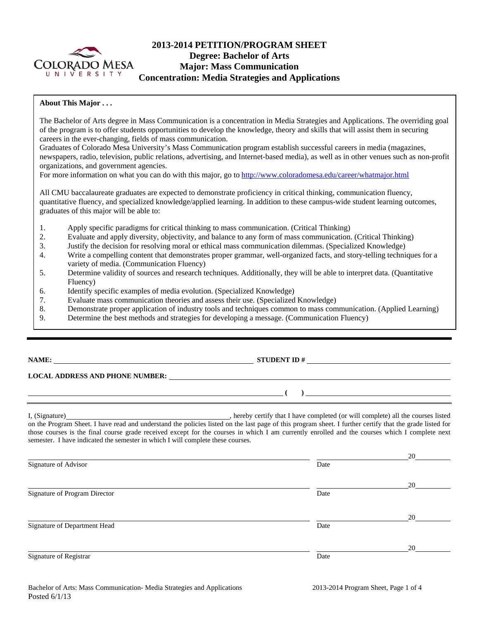

# **2013-2014 PETITION/PROGRAM SHEET Degree: Bachelor of Arts Major: Mass Communication Concentration: Media Strategies and Applications**

#### **About This Major . . .**

The Bachelor of Arts degree in Mass Communication is a concentration in Media Strategies and Applications. The overriding goal of the program is to offer students opportunities to develop the knowledge, theory and skills that will assist them in securing careers in the ever-changing, fields of mass communication.

Graduates of Colorado Mesa University's Mass Communication program establish successful careers in media (magazines, newspapers, radio, television, public relations, advertising, and Internet-based media), as well as in other venues such as non-profit organizations, and government agencies.

For more information on what you can do with this major, go to http://www.coloradomesa.edu/career/whatmajor.html

All CMU baccalaureate graduates are expected to demonstrate proficiency in critical thinking, communication fluency, quantitative fluency, and specialized knowledge/applied learning. In addition to these campus-wide student learning outcomes, graduates of this major will be able to:

- 1. Apply specific paradigms for critical thinking to mass communication. (Critical Thinking)
- 2. Evaluate and apply diversity, objectivity, and balance to any form of mass communication. (Critical Thinking)
- 3. Justify the decision for resolving moral or ethical mass communication dilemmas. (Specialized Knowledge)
- 4. Write a compelling content that demonstrates proper grammar, well-organized facts, and story-telling techniques for a variety of media. (Communication Fluency)
- 5. Determine validity of sources and research techniques. Additionally, they will be able to interpret data. (Quantitative Fluency)
- 6. Identify specific examples of media evolution. (Specialized Knowledge)
- 7. Evaluate mass communication theories and assess their use. (Specialized Knowledge)
- 8. Demonstrate proper application of industry tools and techniques common to mass communication. (Applied Learning)
- 9. Determine the best methods and strategies for developing a message. (Communication Fluency)

# **NAME: STUDENT ID #**

 **( )** 

### **LOCAL ADDRESS AND PHONE NUMBER:**

I, (Signature) , hereby certify that I have completed (or will complete) all the courses listed on the Program Sheet. I have read and understand the policies listed on the last page of this program sheet. I further certify that the grade listed for those courses is the final course grade received except for the courses in which I am currently enrolled and the courses which I complete next semester. I have indicated the semester in which I will complete these courses.

|                               |      | 20 |
|-------------------------------|------|----|
| Signature of Advisor          | Date |    |
|                               |      | 20 |
| Signature of Program Director | Date |    |
|                               |      | 20 |
| Signature of Department Head  | Date |    |
|                               |      | 20 |
| Signature of Registrar        | Date |    |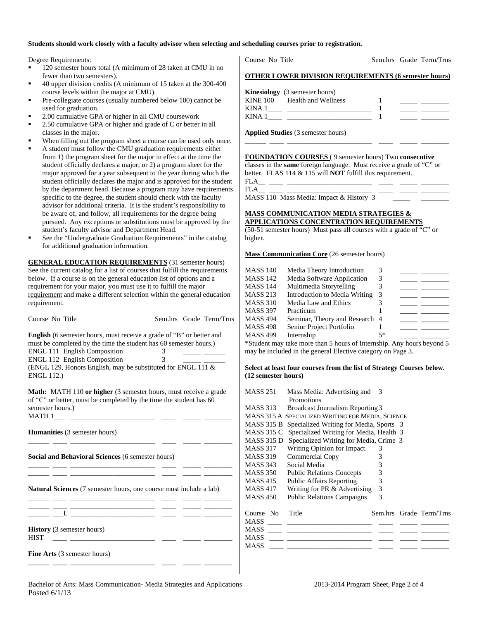#### **Students should work closely with a faculty advisor when selecting and scheduling courses prior to registration.**

Degree Requirements:

- 120 semester hours total (A minimum of 28 taken at CMU in no fewer than two semesters).
- 40 upper division credits (A minimum of 15 taken at the 300-400 course levels within the major at CMU).
- Pre-collegiate courses (usually numbered below 100) cannot be used for graduation.
- 2.00 cumulative GPA or higher in all CMU coursework
- 2.50 cumulative GPA or higher and grade of C or better in all classes in the major.
- When filling out the program sheet a course can be used only once.
- A student must follow the CMU graduation requirements either from 1) the program sheet for the major in effect at the time the student officially declares a major; or 2) a program sheet for the major approved for a year subsequent to the year during which the student officially declares the major and is approved for the student by the department head. Because a program may have requirements specific to the degree, the student should check with the faculty advisor for additional criteria. It is the student's responsibility to be aware of, and follow, all requirements for the degree being pursued. Any exceptions or substitutions must be approved by the student's faculty advisor and Department Head.
- See the "Undergraduate Graduation Requirements" in the catalog for additional graduation information.

**GENERAL EDUCATION REQUIREMENTS** (31 semester hours) See the current catalog for a list of courses that fulfill the requirements below. If a course is on the general education list of options and a requirement for your major, you must use it to fulfill the major requirement and make a different selection within the general education requirement.

| Course No Title                                                                                                                                                                                                                                                                                                                                     |  |  | Sem.hrs Grade Term/Trns |  |  |
|-----------------------------------------------------------------------------------------------------------------------------------------------------------------------------------------------------------------------------------------------------------------------------------------------------------------------------------------------------|--|--|-------------------------|--|--|
| <b>English</b> (6 semester hours, must receive a grade of "B" or better and<br>must be completed by the time the student has 60 semester hours.)<br>ENGL 111 English Composition<br>3 <sup>7</sup><br>$\overline{3}$<br><b>ENGL 112 English Composition</b><br>(ENGL 129, Honors English, may be substituted for ENGL 111 $\&$<br><b>ENGL 112.)</b> |  |  |                         |  |  |
| Math: MATH 110 or higher (3 semester hours, must receive a grade<br>of "C" or better, must be completed by the time the student has 60<br>semester hours.)                                                                                                                                                                                          |  |  |                         |  |  |
| <b>Humanities</b> (3 semester hours)                                                                                                                                                                                                                                                                                                                |  |  |                         |  |  |
| Social and Behavioral Sciences (6 semester hours)                                                                                                                                                                                                                                                                                                   |  |  |                         |  |  |
| <b>Natural Sciences</b> (7 semester hours, one course must include a lab)                                                                                                                                                                                                                                                                           |  |  |                         |  |  |
|                                                                                                                                                                                                                                                                                                                                                     |  |  |                         |  |  |
| <b>History</b> (3 semester hours)<br><b>HIST</b><br>__ _                                                                                                                                                                                                                                                                                            |  |  |                         |  |  |

Course No Title Sem.hrs Grade Term/Trns

#### **OTHER LOWER DIVISION REQUIREMENTS (6 semester hours)**

|        | <b>Kinesiology</b> (3 semester hours) |  |
|--------|---------------------------------------|--|
|        | KINE 100 Health and Wellness          |  |
| KINA 1 |                                       |  |
| KINA 1 |                                       |  |

\_\_\_\_\_\_ \_\_\_\_ \_\_\_\_\_\_\_\_\_\_\_\_\_\_\_\_\_\_\_\_\_\_\_\_ \_\_\_\_ \_\_\_\_\_ \_\_\_\_\_\_\_\_

**Applied Studies** (3 semester hours)

**FOUNDATION COURSES** ( 9 semester hours) Two **consecutive** classes in the **same** foreign language. Must receive a grade of "C" or better. FLAS 114 & 115 will **NOT** fulfill this requirement.

FLA\_\_ \_\_\_\_ \_\_\_\_\_\_\_\_\_\_\_\_\_\_\_\_\_\_\_\_\_\_\_\_ \_\_\_\_ \_\_\_\_\_ \_\_\_\_\_\_\_\_

FLA\_\_ \_\_\_\_ \_\_\_\_\_\_\_\_\_\_\_\_\_\_\_\_\_\_\_\_\_\_\_\_ \_\_\_\_ \_\_\_\_\_ \_\_\_\_\_\_\_\_ MASS 110 Mass Media: Impact & History 3

#### **MASS COMMUNICATION MEDIA STRATEGIES & APPLICATIONS CONCENTRATION REQUIREMENTS**

(50-51 semester hours) Must pass all courses with a grade of "C" or higher.

**Mass Communication Core** (26 semester hours)

| <b>MASS 140</b> | Media Theory Introduction      |      |  |
|-----------------|--------------------------------|------|--|
| <b>MASS 142</b> | Media Software Application     |      |  |
| <b>MASS 144</b> | Multimedia Storytelling        |      |  |
| <b>MASS 213</b> | Introduction to Media Writing  |      |  |
| <b>MASS 310</b> | Media Law and Ethics           |      |  |
| <b>MASS 397</b> | Practicum                      |      |  |
| <b>MASS 494</b> | Seminar, Theory and Research 4 |      |  |
| <b>MASS 498</b> | Senior Project Portfolio       |      |  |
| <b>MASS 499</b> | Internship                     | $5*$ |  |
|                 |                                |      |  |

\*Student may take more than 5 hours of Internship. Any hours beyond 5 may be included in the general Elective category on Page 3.

#### **Select at least four courses from the list of Strategy Courses below. (12 semester hours)**

| <b>MASS 251</b> | Mass Media: Advertising and<br>Promotions         | 3 |                         |
|-----------------|---------------------------------------------------|---|-------------------------|
| <b>MASS 313</b> | Broadcast Journalism Reporting 3                  |   |                         |
|                 | MASS 315 A SPECIALIZED WRITING FOR MEDIA, SCIENCE |   |                         |
| MASS 315 B      | Specialized Writing for Media, Sports 3           |   |                         |
| MASS 315 C      | Specialized Writing for Media, Health 3           |   |                         |
| MASS 315 D      | Specialized Writing for Media, Crime 3            |   |                         |
| MASS 317        | Writing Opinion for Impact                        | 3 |                         |
| <b>MASS 319</b> | Commercial Copy                                   | 3 |                         |
| <b>MASS 343</b> | Social Media                                      | 3 |                         |
| MASS 350        | <b>Public Relations Concepts</b>                  | 3 |                         |
| <b>MASS 415</b> | <b>Public Affairs Reporting</b>                   | 3 |                         |
| <b>MASS 417</b> | Writing for PR & Advertising                      | 3 |                         |
| <b>MASS 450</b> | <b>Public Relations Campaigns</b>                 | 3 |                         |
|                 |                                                   |   |                         |
| Course<br>No.   | Title                                             |   | Sem.hrs Grade Term/Trns |
| <b>MASS</b>     |                                                   |   |                         |
| <b>MASS</b>     |                                                   |   |                         |
| <b>MASS</b>     |                                                   |   |                         |
| <b>MASS</b>     |                                                   |   |                         |

\_\_\_\_\_\_ \_\_\_\_ \_\_\_\_\_\_\_\_\_\_\_\_\_\_\_\_\_\_\_\_\_\_\_\_ \_\_\_\_ \_\_\_\_\_ \_\_\_\_\_\_\_\_

**Fine Arts** (3 semester hours)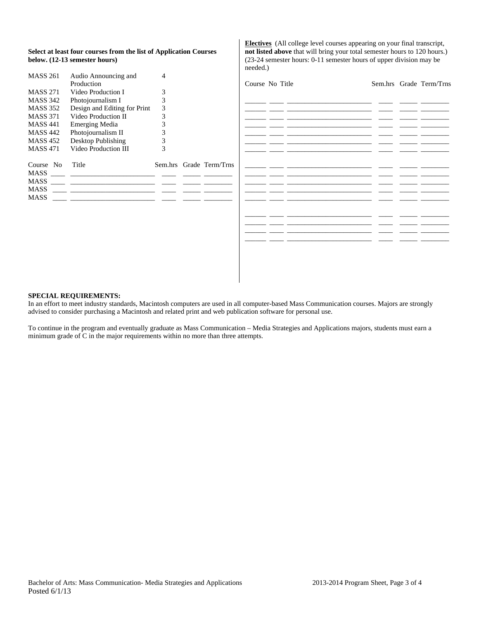| Select at least four courses from the list of Application Courses |  |
|-------------------------------------------------------------------|--|
| below. (12-13 semester hours)                                     |  |

| <b>MASS 261</b> | Audio Announcing and         | 4 |                         |
|-----------------|------------------------------|---|-------------------------|
|                 | Production                   |   |                         |
| <b>MASS 271</b> | Video Production I           | 3 |                         |
| <b>MASS 342</b> | Photojournalism I            | 3 |                         |
| <b>MASS 352</b> | Design and Editing for Print | 3 |                         |
| <b>MASS 371</b> | Video Production II          | 3 |                         |
| <b>MASS 441</b> | <b>Emerging Media</b>        | 3 |                         |
| <b>MASS 442</b> | Photojournalism II           | 3 |                         |
| <b>MASS 452</b> | Desktop Publishing           | 3 |                         |
| <b>MASS 471</b> | Video Production III         | 3 |                         |
| Course No       | Title                        |   | Sem.hrs Grade Term/Trns |
| <b>MASS</b>     |                              |   |                         |
| <b>MASS</b>     |                              |   |                         |
| <b>MASS</b>     |                              |   |                         |
| MASS            |                              |   |                         |
|                 |                              |   |                         |

**Electives** (All college level courses appearing on your final transcript, **not listed above** that will bring your total semester hours to 120 hours.) (23-24 semester hours: 0-11 semester hours of upper division may be needed.)

| Course No Title |  | Sem.hrs Grade Term/Trns |
|-----------------|--|-------------------------|
| $\sim$          |  |                         |
|                 |  |                         |
|                 |  |                         |
|                 |  |                         |
|                 |  |                         |
|                 |  |                         |
|                 |  |                         |
|                 |  |                         |
|                 |  |                         |
|                 |  |                         |
|                 |  |                         |
|                 |  |                         |
|                 |  |                         |

#### **SPECIAL REQUIREMENTS:**

In an effort to meet industry standards, Macintosh computers are used in all computer-based Mass Communication courses. Majors are strongly advised to consider purchasing a Macintosh and related print and web publication software for personal use.

To continue in the program and eventually graduate as Mass Communication – Media Strategies and Applications majors, students must earn a minimum grade of C in the major requirements within no more than three attempts.